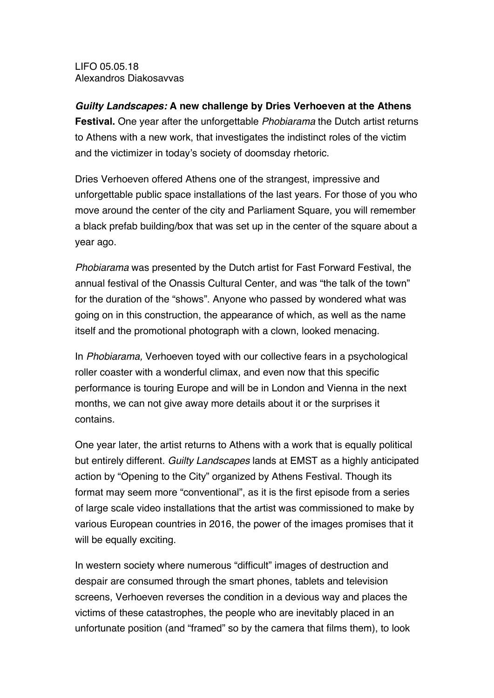LIFO 05.05.18 Alexandros Diakosavvas

*Guilty Landscapes:* **A new challenge by Dries Verhoeven at the Athens Festival.** One year after the unforgettable *Phobiarama* the Dutch artist returns to Athens with a new work, that investigates the indistinct roles of the victim

and the victimizer in today's society of doomsday rhetoric.

Dries Verhoeven offered Athens one of the strangest, impressive and unforgettable public space installations of the last years. For those of you who move around the center of the city and Parliament Square, you will remember a black prefab building/box that was set up in the center of the square about a year ago.

*Phobiarama* was presented by the Dutch artist for Fast Forward Festival, the annual festival of the Onassis Cultural Center, and was "the talk of the town" for the duration of the "shows". Anyone who passed by wondered what was going on in this construction, the appearance of which, as well as the name itself and the promotional photograph with a clown, looked menacing.

In *Phobiarama,* Verhoeven toyed with our collective fears in a psychological roller coaster with a wonderful climax, and even now that this specific performance is touring Europe and will be in London and Vienna in the next months, we can not give away more details about it or the surprises it contains.

One year later, the artist returns to Athens with a work that is equally political but entirely different. *Guilty Landscapes* lands at EMST as a highly anticipated action by "Opening to the City" organized by Athens Festival. Though its format may seem more "conventional", as it is the first episode from a series of large scale video installations that the artist was commissioned to make by various European countries in 2016, the power of the images promises that it will be equally exciting.

In western society where numerous "difficult" images of destruction and despair are consumed through the smart phones, tablets and television screens, Verhoeven reverses the condition in a devious way and places the victims of these catastrophes, the people who are inevitably placed in an unfortunate position (and "framed" so by the camera that films them), to look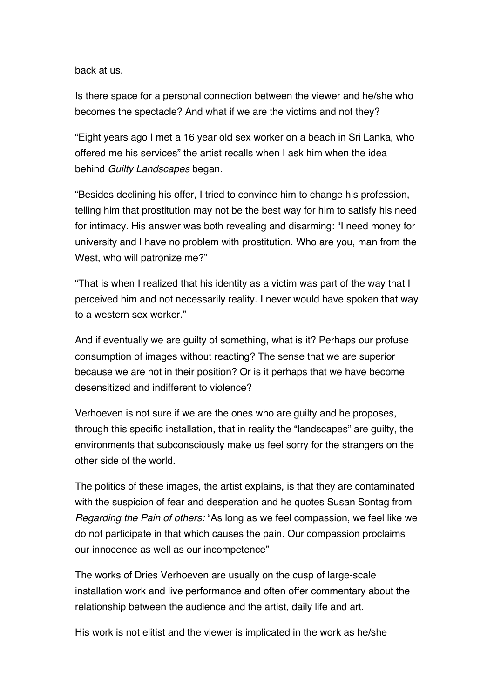back at us.

Is there space for a personal connection between the viewer and he/she who becomes the spectacle? And what if we are the victims and not they?

"Eight years ago I met a 16 year old sex worker on a beach in Sri Lanka, who offered me his services" the artist recalls when I ask him when the idea behind *Guilty Landscapes* began.

"Besides declining his offer, I tried to convince him to change his profession, telling him that prostitution may not be the best way for him to satisfy his need for intimacy. His answer was both revealing and disarming: "I need money for university and I have no problem with prostitution. Who are you, man from the West, who will patronize me?"

"That is when I realized that his identity as a victim was part of the way that I perceived him and not necessarily reality. I never would have spoken that way to a western sex worker."

And if eventually we are guilty of something, what is it? Perhaps our profuse consumption of images without reacting? The sense that we are superior because we are not in their position? Or is it perhaps that we have become desensitized and indifferent to violence?

Verhoeven is not sure if we are the ones who are guilty and he proposes, through this specific installation, that in reality the "landscapes" are guilty, the environments that subconsciously make us feel sorry for the strangers on the other side of the world.

The politics of these images, the artist explains, is that they are contaminated with the suspicion of fear and desperation and he quotes Susan Sontag from *Regarding the Pain of others:* "As long as we feel compassion, we feel like we do not participate in that which causes the pain. Our compassion proclaims our innocence as well as our incompetence"

The works of Dries Verhoeven are usually on the cusp of large-scale installation work and live performance and often offer commentary about the relationship between the audience and the artist, daily life and art.

His work is not elitist and the viewer is implicated in the work as he/she